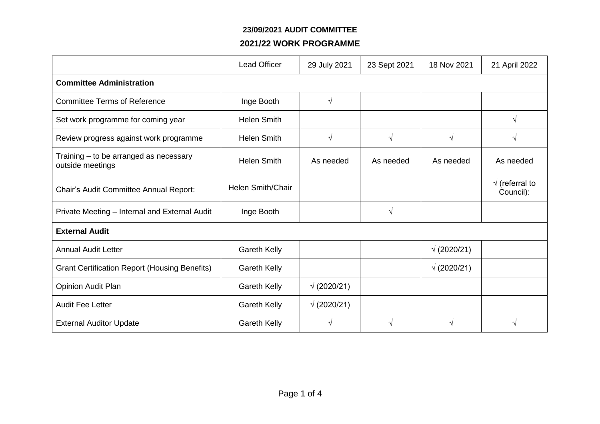#### **23/09/2021 AUDIT COMMITTEE**

### **2021/22 WORK PROGRAMME**

|                                                            | <b>Lead Officer</b> | 29 July 2021       | 23 Sept 2021 | 18 Nov 2021        | 21 April 2022                       |  |
|------------------------------------------------------------|---------------------|--------------------|--------------|--------------------|-------------------------------------|--|
| <b>Committee Administration</b>                            |                     |                    |              |                    |                                     |  |
| <b>Committee Terms of Reference</b>                        | Inge Booth          | $\sqrt{ }$         |              |                    |                                     |  |
| Set work programme for coming year                         | <b>Helen Smith</b>  |                    |              |                    | $\sqrt{ }$                          |  |
| Review progress against work programme                     | <b>Helen Smith</b>  | $\sqrt{ }$         | $\sqrt{}$    | $\sqrt{ }$         | $\sqrt{ }$                          |  |
| Training - to be arranged as necessary<br>outside meetings | <b>Helen Smith</b>  | As needed          | As needed    | As needed          | As needed                           |  |
| Chair's Audit Committee Annual Report:                     | Helen Smith/Chair   |                    |              |                    | $\sqrt{}$ (referral to<br>Council): |  |
| Private Meeting - Internal and External Audit              | Inge Booth          |                    | $\sqrt{}$    |                    |                                     |  |
| <b>External Audit</b>                                      |                     |                    |              |                    |                                     |  |
| <b>Annual Audit Letter</b>                                 | <b>Gareth Kelly</b> |                    |              | $\sqrt{(2020/21)}$ |                                     |  |
| <b>Grant Certification Report (Housing Benefits)</b>       | <b>Gareth Kelly</b> |                    |              | $\sqrt{(2020/21)}$ |                                     |  |
| Opinion Audit Plan                                         | <b>Gareth Kelly</b> | $\sqrt{(2020/21)}$ |              |                    |                                     |  |
| <b>Audit Fee Letter</b>                                    | <b>Gareth Kelly</b> | $\sqrt{(2020/21)}$ |              |                    |                                     |  |
| <b>External Auditor Update</b>                             | <b>Gareth Kelly</b> | V                  | V            | $\sqrt{ }$         | $\sqrt{ }$                          |  |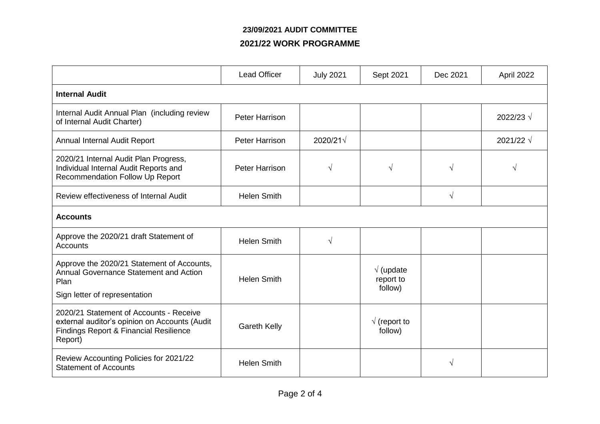## **23/09/2021 AUDIT COMMITTEE**

### **2021/22 WORK PROGRAMME**

|                                                                                                                                               | <b>Lead Officer</b>   | <b>July 2021</b>  | Sept 2021                                 | Dec 2021   | April 2022         |  |
|-----------------------------------------------------------------------------------------------------------------------------------------------|-----------------------|-------------------|-------------------------------------------|------------|--------------------|--|
| <b>Internal Audit</b>                                                                                                                         |                       |                   |                                           |            |                    |  |
| Internal Audit Annual Plan (including review<br>of Internal Audit Charter)                                                                    | <b>Peter Harrison</b> |                   |                                           |            | 2022/23 √          |  |
| Annual Internal Audit Report                                                                                                                  | <b>Peter Harrison</b> | $2020/21\sqrt{ }$ |                                           |            | 2021/22 $\sqrt{ }$ |  |
| 2020/21 Internal Audit Plan Progress,<br>Individual Internal Audit Reports and<br><b>Recommendation Follow Up Report</b>                      | <b>Peter Harrison</b> | V                 | $\sqrt{ }$                                | $\sqrt{ }$ |                    |  |
| Review effectiveness of Internal Audit                                                                                                        | <b>Helen Smith</b>    |                   |                                           | $\sqrt{ }$ |                    |  |
| <b>Accounts</b>                                                                                                                               |                       |                   |                                           |            |                    |  |
| Approve the 2020/21 draft Statement of<br><b>Accounts</b>                                                                                     | <b>Helen Smith</b>    | $\sqrt{}$         |                                           |            |                    |  |
| Approve the 2020/21 Statement of Accounts,<br><b>Annual Governance Statement and Action</b><br>Plan<br>Sign letter of representation          | <b>Helen Smith</b>    |                   | $\sqrt{}$ (update<br>report to<br>follow) |            |                    |  |
| 2020/21 Statement of Accounts - Receive<br>external auditor's opinion on Accounts (Audit<br>Findings Report & Financial Resilience<br>Report) | <b>Gareth Kelly</b>   |                   | $\sqrt{}$ (report to<br>follow)           |            |                    |  |
| Review Accounting Policies for 2021/22<br><b>Statement of Accounts</b>                                                                        | <b>Helen Smith</b>    |                   |                                           | V          |                    |  |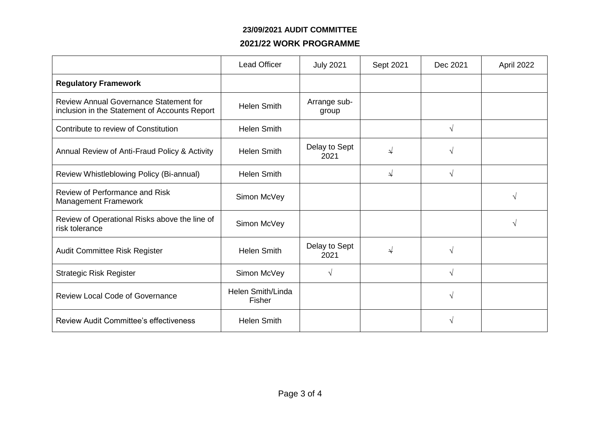#### **23/09/2021 AUDIT COMMITTEE**

### **2021/22 WORK PROGRAMME**

|                                                                                                | <b>Lead Officer</b>         | <b>July 2021</b>      | Sept 2021     | Dec 2021     | April 2022 |
|------------------------------------------------------------------------------------------------|-----------------------------|-----------------------|---------------|--------------|------------|
| <b>Regulatory Framework</b>                                                                    |                             |                       |               |              |            |
| <b>Review Annual Governance Statement for</b><br>inclusion in the Statement of Accounts Report | <b>Helen Smith</b>          | Arrange sub-<br>group |               |              |            |
| Contribute to review of Constitution                                                           | <b>Helen Smith</b>          |                       |               | $\sqrt{ }$   |            |
| Annual Review of Anti-Fraud Policy & Activity                                                  | <b>Helen Smith</b>          | Delay to Sept<br>2021 | ↵             | $\mathcal N$ |            |
| Review Whistleblowing Policy (Bi-annual)                                                       | <b>Helen Smith</b>          |                       | $\rightarrow$ | $\sqrt{ }$   |            |
| Review of Performance and Risk<br><b>Management Framework</b>                                  | Simon McVey                 |                       |               |              | $\sqrt{ }$ |
| Review of Operational Risks above the line of<br>risk tolerance                                | Simon McVey                 |                       |               |              | $\sqrt{ }$ |
| Audit Committee Risk Register                                                                  | <b>Helen Smith</b>          | Delay to Sept<br>2021 | ⇃             | $\sqrt{ }$   |            |
| <b>Strategic Risk Register</b>                                                                 | Simon McVey                 | V                     |               | $\sqrt{ }$   |            |
| <b>Review Local Code of Governance</b>                                                         | Helen Smith/Linda<br>Fisher |                       |               | $\sqrt{ }$   |            |
| <b>Review Audit Committee's effectiveness</b>                                                  | <b>Helen Smith</b>          |                       |               | V            |            |